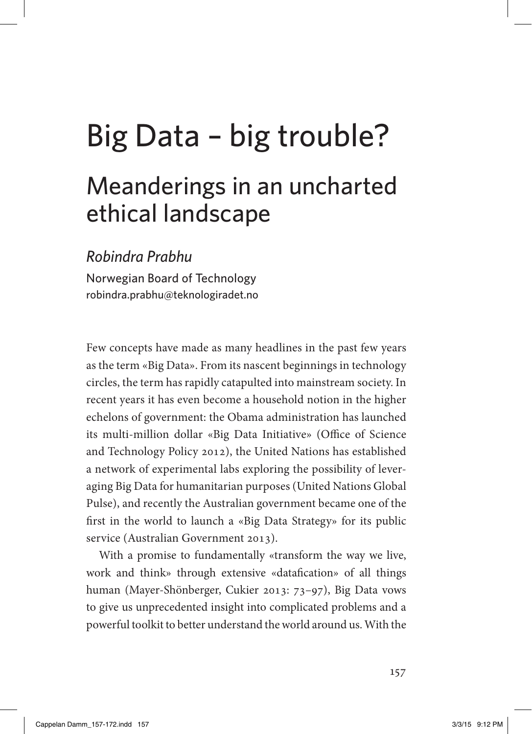# Big Data - big trouble? Meanderings in an uncharted ethical landscape

#### *Robindra Prabhu*

Norwegian Board of Technology [robindra.prabhu@teknologiradet.no](mailto:robindra.prabhu@teknologiradet.no)

Few concepts have made as many headlines in the past few years as the term «Big Data». From its nascent beginnings in technology circles, the term has rapidly catapulted into mainstream society. In recent years it has even become a household notion in the higher echelons of government: the Obama administration has launched its multi-million dollar «Big Data Initiative» (Office of Science and Technology Policy 2012), the United Nations has established a network of experimental labs exploring the possibility of leveraging Big Data for humanitarian purposes (United Nations Global Pulse), and recently the Australian government became one of the first in the world to launch a «Big Data Strategy» for its public service (Australian Government 2013).

With a promise to fundamentally «transform the way we live, work and think» through extensive «datafication» of all things human (Mayer-Shönberger, Cukier 2013: 73–97), Big Data vows to give us unprecedented insight into complicated problems and a powerful toolkit to better understand the world around us. With the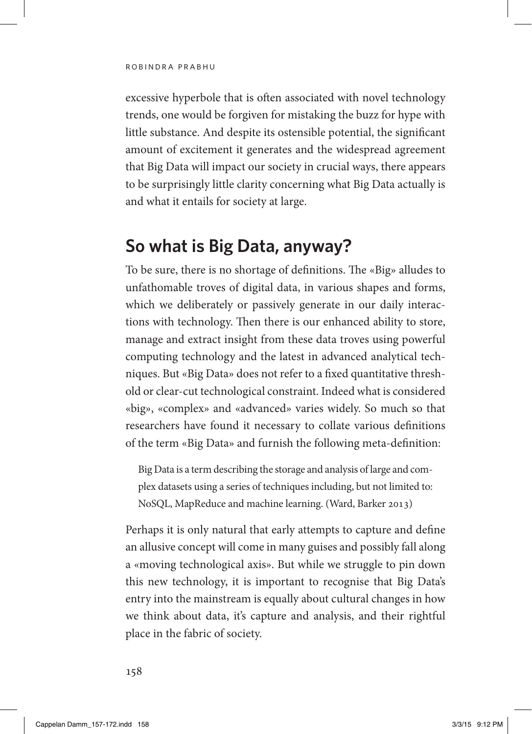excessive hyperbole that is often associated with novel technology trends, one would be forgiven for mistaking the buzz for hype with little substance. And despite its ostensible potential, the significant amount of excitement it generates and the widespread agreement that Big Data will impact our society in crucial ways, there appears to be surprisingly little clarity concerning what Big Data actually is and what it entails for society at large.

#### **So what is Big Data, anyway?**

To be sure, there is no shortage of definitions. The «Big» alludes to unfathomable troves of digital data, in various shapes and forms, which we deliberately or passively generate in our daily interactions with technology. Then there is our enhanced ability to store, manage and extract insight from these data troves using powerful computing technology and the latest in advanced analytical techniques. But «Big Data» does not refer to a fixed quantitative threshold or clear-cut technological constraint. Indeed what is considered «big», «complex» and «advanced» varies widely. So much so that researchers have found it necessary to collate various definitions of the term «Big Data» and furnish the following meta-definition:

Big Data is a term describing the storage and analysis of large and complex datasets using a series of techniques including, but not limited to: NoSQL, MapReduce and machine learning. (Ward, Barker 2013)

Perhaps it is only natural that early attempts to capture and define an allusive concept will come in many guises and possibly fall along a «moving technological axis». But while we struggle to pin down this new technology, it is important to recognise that Big Data's entry into the mainstream is equally about cultural changes in how we think about data, it's capture and analysis, and their rightful place in the fabric of society.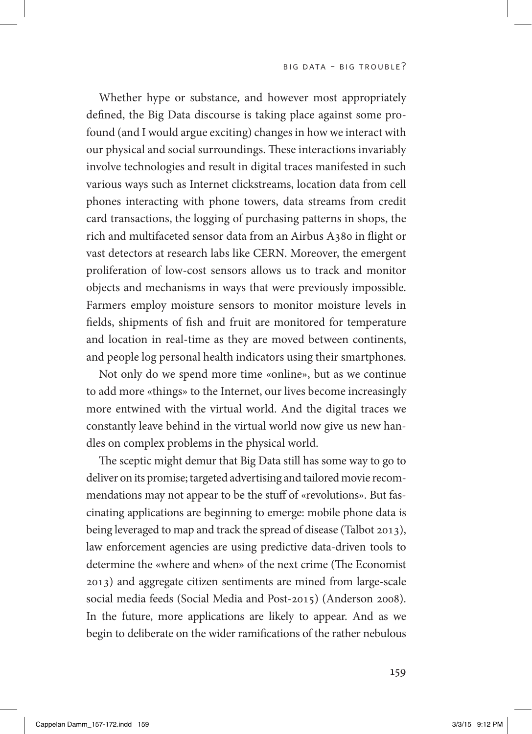Whether hype or substance, and however most appropriately defined, the Big Data discourse is taking place against some profound (and I would argue exciting) changes in how we interact with our physical and social surroundings. These interactions invariably involve technologies and result in digital traces manifested in such various ways such as Internet clickstreams, location data from cell phones interacting with phone towers, data streams from credit card transactions, the logging of purchasing patterns in shops, the rich and multifaceted sensor data from an Airbus A380 in flight or vast detectors at research labs like CERN. Moreover, the emergent proliferation of low-cost sensors allows us to track and monitor objects and mechanisms in ways that were previously impossible. Farmers employ moisture sensors to monitor moisture levels in fields, shipments of fish and fruit are monitored for temperature and location in real-time as they are moved between continents, and people log personal health indicators using their smartphones.

Not only do we spend more time «online», but as we continue to add more «things» to the Internet, our lives become increasingly more entwined with the virtual world. And the digital traces we constantly leave behind in the virtual world now give us new handles on complex problems in the physical world.

The sceptic might demur that Big Data still has some way to go to deliver on its promise; targeted advertising and tailored movie recommendations may not appear to be the stuff of «revolutions». But fascinating applications are beginning to emerge: mobile phone data is being leveraged to map and track the spread of disease (Talbot 2013), law enforcement agencies are using predictive data-driven tools to determine the «where and when» of the next crime (The Economist 2013) and aggregate citizen sentiments are mined from large-scale social media feeds (Social Media and Post-2015) (Anderson 2008). In the future, more applications are likely to appear. And as we begin to deliberate on the wider ramifications of the rather nebulous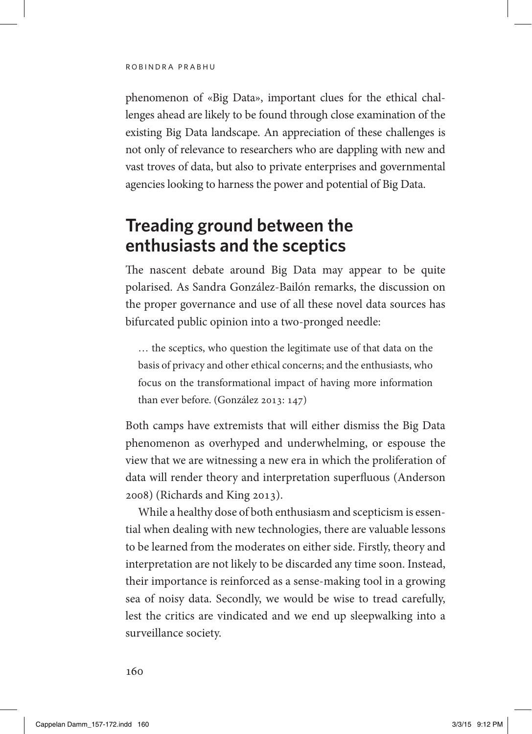phenomenon of «Big Data», important clues for the ethical challenges ahead are likely to be found through close examination of the existing Big Data landscape. An appreciation of these challenges is not only of relevance to researchers who are dappling with new and vast troves of data, but also to private enterprises and governmental agencies looking to harness the power and potential of Big Data.

### **Treading ground between the enthusiasts and the sceptics**

The nascent debate around Big Data may appear to be quite polarised. As Sandra González-Bailón remarks, the discussion on the proper governance and use of all these novel data sources has bifurcated public opinion into a two-pronged needle:

… the sceptics, who question the legitimate use of that data on the basis of privacy and other ethical concerns; and the enthusiasts, who focus on the transformational impact of having more information than ever before. (González 2013: 147)

Both camps have extremists that will either dismiss the Big Data phenomenon as overhyped and underwhelming, or espouse the view that we are witnessing a new era in which the proliferation of data will render theory and interpretation superfluous (Anderson 2008) (Richards and King 2013).

While a healthy dose of both enthusiasm and scepticism is essential when dealing with new technologies, there are valuable lessons to be learned from the moderates on either side. Firstly, theory and interpretation are not likely to be discarded any time soon. Instead, their importance is reinforced as a sense-making tool in a growing sea of noisy data. Secondly, we would be wise to tread carefully, lest the critics are vindicated and we end up sleepwalking into a surveillance society.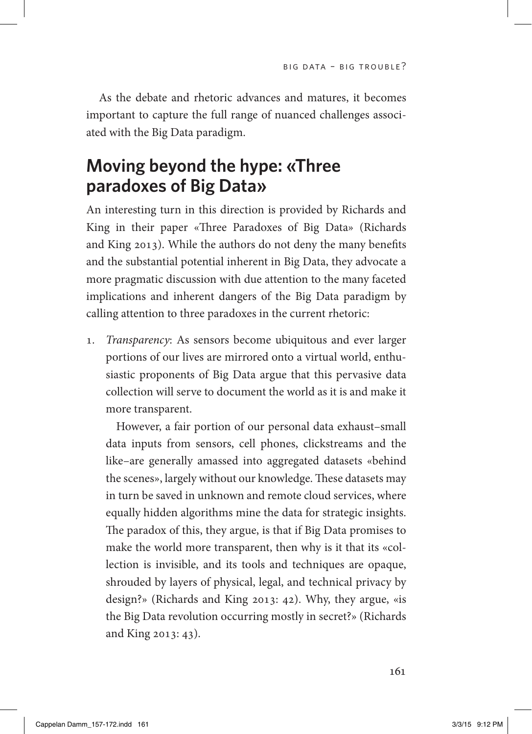As the debate and rhetoric advances and matures, it becomes important to capture the full range of nuanced challenges associated with the Big Data paradigm.

### **Moving beyond the hype: «Three paradoxes of Big Data»**

An interesting turn in this direction is provided by Richards and King in their paper «Three Paradoxes of Big Data» (Richards and King 2013). While the authors do not deny the many benefits and the substantial potential inherent in Big Data, they advocate a more pragmatic discussion with due attention to the many faceted implications and inherent dangers of the Big Data paradigm by calling attention to three paradoxes in the current rhetoric:

1. *Transparency*: As sensors become ubiquitous and ever larger portions of our lives are mirrored onto a virtual world, enthusiastic proponents of Big Data argue that this pervasive data collection will serve to document the world as it is and make it more transparent.

 However, a fair portion of our personal data exhaust–small data inputs from sensors, cell phones, clickstreams and the like–are generally amassed into aggregated datasets «behind the scenes», largely without our knowledge. These datasets may in turn be saved in unknown and remote cloud services, where equally hidden algorithms mine the data for strategic insights. The paradox of this, they argue, is that if Big Data promises to make the world more transparent, then why is it that its «collection is invisible, and its tools and techniques are opaque, shrouded by layers of physical, legal, and technical privacy by design?» (Richards and King 2013: 42). Why, they argue, «is the Big Data revolution occurring mostly in secret?» (Richards and King 2013: 43).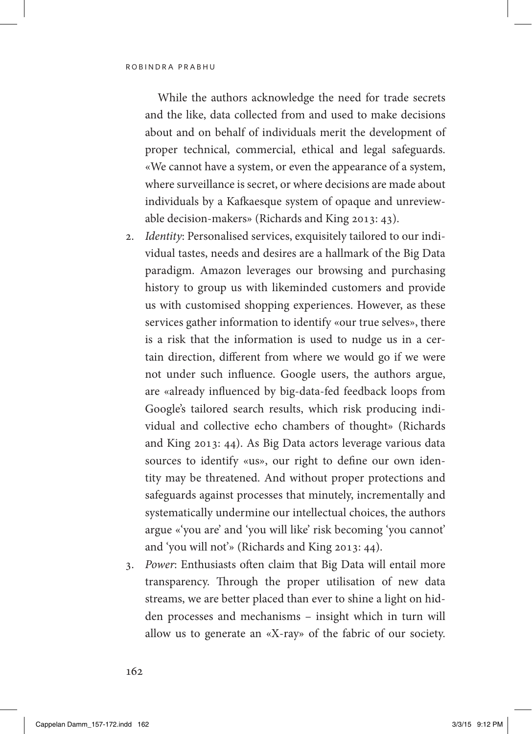robindra prabhu

 While the authors acknowledge the need for trade secrets and the like, data collected from and used to make decisions about and on behalf of individuals merit the development of proper technical, commercial, ethical and legal safeguards. «We cannot have a system, or even the appearance of a system, where surveillance is secret, or where decisions are made about individuals by a Kafkaesque system of opaque and unreviewable decision-makers» (Richards and King 2013: 43).

- 2. *Identity*: Personalised services, exquisitely tailored to our individual tastes, needs and desires are a hallmark of the Big Data paradigm. Amazon leverages our browsing and purchasing history to group us with likeminded customers and provide us with customised shopping experiences. However, as these services gather information to identify «our true selves», there is a risk that the information is used to nudge us in a certain direction, different from where we would go if we were not under such influence. Google users, the authors argue, are «already influenced by big-data-fed feedback loops from Google's tailored search results, which risk producing individual and collective echo chambers of thought» (Richards and King 2013: 44). As Big Data actors leverage various data sources to identify «us», our right to define our own identity may be threatened. And without proper protections and safeguards against processes that minutely, incrementally and systematically undermine our intellectual choices, the authors argue «'you are' and 'you will like' risk becoming 'you cannot' and 'you will not'» (Richards and King 2013: 44).
- 3. *Power*: Enthusiasts often claim that Big Data will entail more transparency. Through the proper utilisation of new data streams, we are better placed than ever to shine a light on hidden processes and mechanisms – insight which in turn will allow us to generate an «X-ray» of the fabric of our society.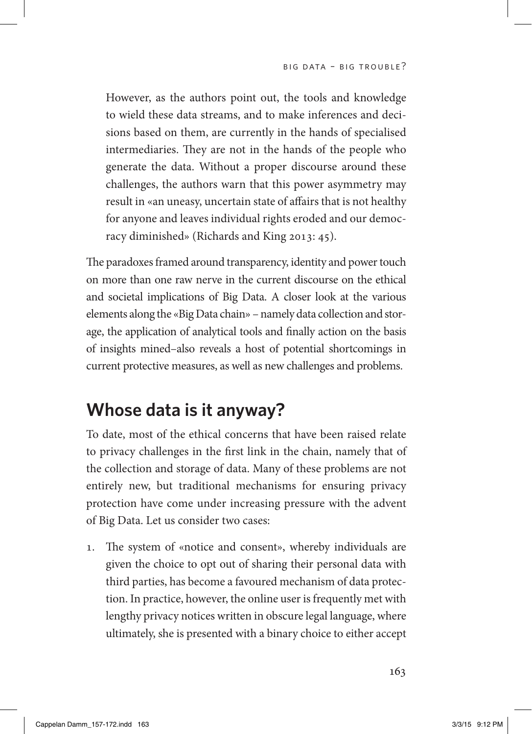However, as the authors point out, the tools and knowledge to wield these data streams, and to make inferences and decisions based on them, are currently in the hands of specialised intermediaries. They are not in the hands of the people who generate the data. Without a proper discourse around these challenges, the authors warn that this power asymmetry may result in «an uneasy, uncertain state of affairs that is not healthy for anyone and leaves individual rights eroded and our democracy diminished» (Richards and King 2013: 45).

The paradoxes framed around transparency, identity and power touch on more than one raw nerve in the current discourse on the ethical and societal implications of Big Data. A closer look at the various elements along the «Big Data chain» – namely data collection and storage, the application of analytical tools and finally action on the basis of insights mined–also reveals a host of potential shortcomings in current protective measures, as well as new challenges and problems.

## **Whose data is it anyway?**

To date, most of the ethical concerns that have been raised relate to privacy challenges in the first link in the chain, namely that of the collection and storage of data. Many of these problems are not entirely new, but traditional mechanisms for ensuring privacy protection have come under increasing pressure with the advent of Big Data. Let us consider two cases:

1. The system of «notice and consent», whereby individuals are given the choice to opt out of sharing their personal data with third parties, has become a favoured mechanism of data protection. In practice, however, the online user is frequently met with lengthy privacy notices written in obscure legal language, where ultimately, she is presented with a binary choice to either accept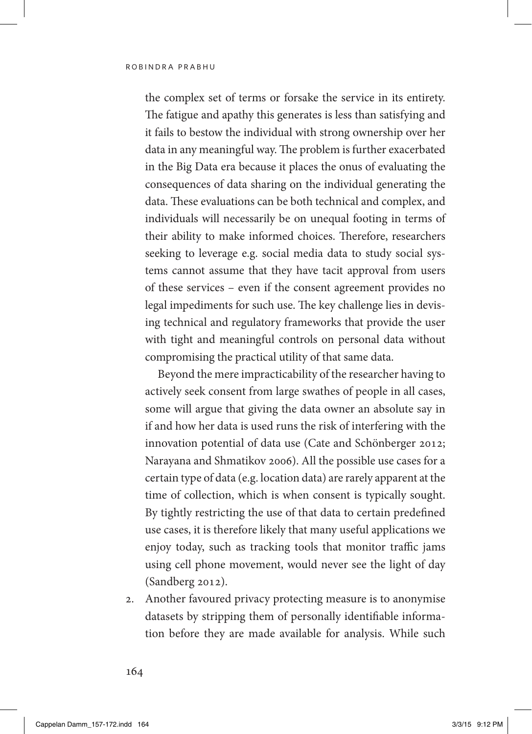the complex set of terms or forsake the service in its entirety. The fatigue and apathy this generates is less than satisfying and it fails to bestow the individual with strong ownership over her data in any meaningful way. The problem is further exacerbated in the Big Data era because it places the onus of evaluating the consequences of data sharing on the individual generating the data. These evaluations can be both technical and complex, and individuals will necessarily be on unequal footing in terms of their ability to make informed choices. Therefore, researchers seeking to leverage e.g. social media data to study social systems cannot assume that they have tacit approval from users of these services – even if the consent agreement provides no legal impediments for such use. The key challenge lies in devising technical and regulatory frameworks that provide the user with tight and meaningful controls on personal data without compromising the practical utility of that same data.

 Beyond the mere impracticability of the researcher having to actively seek consent from large swathes of people in all cases, some will argue that giving the data owner an absolute say in if and how her data is used runs the risk of interfering with the innovation potential of data use (Cate and Schönberger 2012; Narayana and Shmatikov 2006). All the possible use cases for a certain type of data (e.g. location data) are rarely apparent at the time of collection, which is when consent is typically sought. By tightly restricting the use of that data to certain predefined use cases, it is therefore likely that many useful applications we enjoy today, such as tracking tools that monitor traffic jams using cell phone movement, would never see the light of day (Sandberg 2012).

2. Another favoured privacy protecting measure is to anonymise datasets by stripping them of personally identifiable information before they are made available for analysis. While such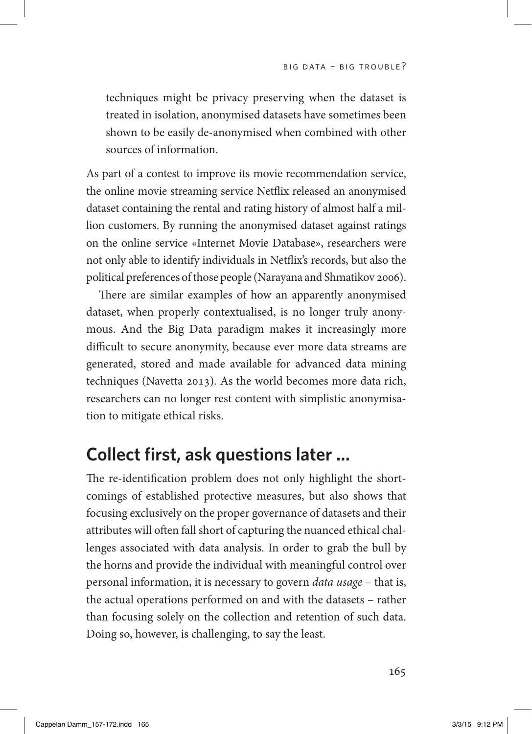techniques might be privacy preserving when the dataset is treated in isolation, anonymised datasets have sometimes been shown to be easily de-anonymised when combined with other sources of information.

As part of a contest to improve its movie recommendation service, the online movie streaming service Netflix released an anonymised dataset containing the rental and rating history of almost half a million customers. By running the anonymised dataset against ratings on the online service «Internet Movie Database», researchers were not only able to identify individuals in Netflix's records, but also the political preferences of those people (Narayana and Shmatikov 2006).

There are similar examples of how an apparently anonymised dataset, when properly contextualised, is no longer truly anonymous. And the Big Data paradigm makes it increasingly more difficult to secure anonymity, because ever more data streams are generated, stored and made available for advanced data mining techniques (Navetta 2013). As the world becomes more data rich, researchers can no longer rest content with simplistic anonymisation to mitigate ethical risks.

#### **Collect first, ask questions later …**

The re-identification problem does not only highlight the shortcomings of established protective measures, but also shows that focusing exclusively on the proper governance of datasets and their attributes will often fall short of capturing the nuanced ethical challenges associated with data analysis. In order to grab the bull by the horns and provide the individual with meaningful control over personal information, it is necessary to govern *data usage* – that is, the actual operations performed on and with the datasets – rather than focusing solely on the collection and retention of such data. Doing so, however, is challenging, to say the least.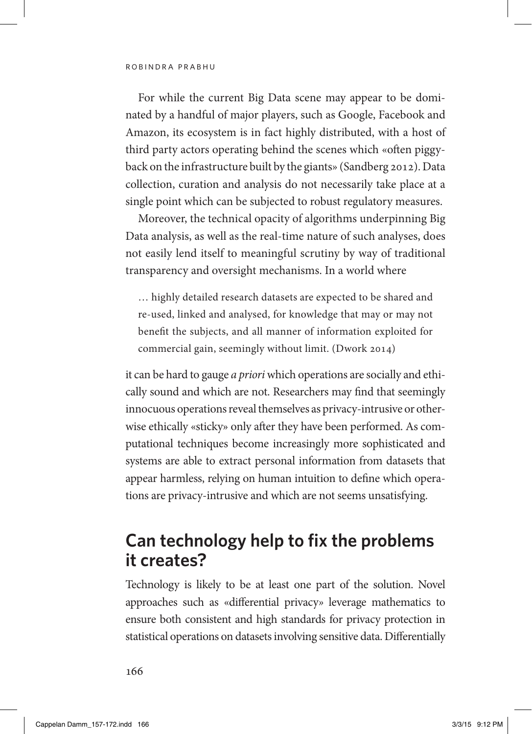robindra prabhu

For while the current Big Data scene may appear to be dominated by a handful of major players, such as Google, Facebook and Amazon, its ecosystem is in fact highly distributed, with a host of third party actors operating behind the scenes which «often piggyback on the infrastructure built by the giants» (Sandberg 2012). Data collection, curation and analysis do not necessarily take place at a single point which can be subjected to robust regulatory measures.

Moreover, the technical opacity of algorithms underpinning Big Data analysis, as well as the real-time nature of such analyses, does not easily lend itself to meaningful scrutiny by way of traditional transparency and oversight mechanisms. In a world where

… highly detailed research datasets are expected to be shared and re-used, linked and analysed, for knowledge that may or may not benefit the subjects, and all manner of information exploited for commercial gain, seemingly without limit. (Dwork 2014)

it can be hard to gauge *a priori* which operations are socially and ethically sound and which are not. Researchers may find that seemingly innocuous operations reveal themselves as privacy-intrusive or otherwise ethically «sticky» only after they have been performed. As computational techniques become increasingly more sophisticated and systems are able to extract personal information from datasets that appear harmless, relying on human intuition to define which operations are privacy-intrusive and which are not seems unsatisfying.

## **Can technology help to fix the problems it creates?**

Technology is likely to be at least one part of the solution. Novel approaches such as «differential privacy*»* leverage mathematics to ensure both consistent and high standards for privacy protection in statistical operations on datasets involving sensitive data. Differentially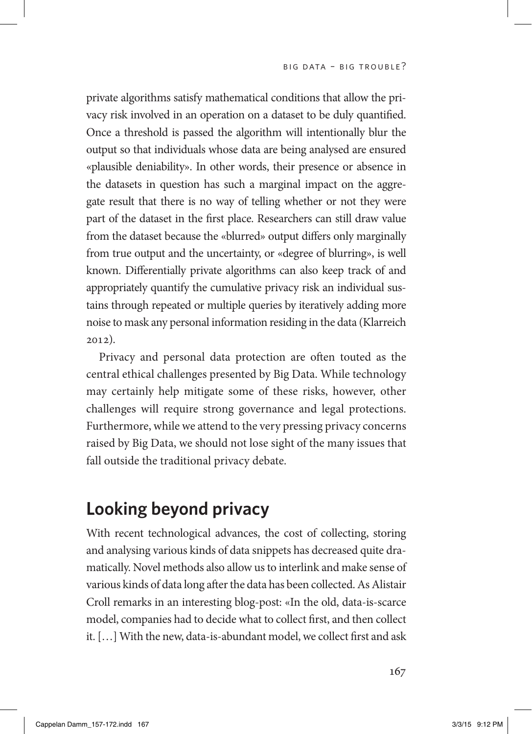private algorithms satisfy mathematical conditions that allow the privacy risk involved in an operation on a dataset to be duly quantified. Once a threshold is passed the algorithm will intentionally blur the output so that individuals whose data are being analysed are ensured «plausible deniability». In other words, their presence or absence in the datasets in question has such a marginal impact on the aggregate result that there is no way of telling whether or not they were part of the dataset in the first place. Researchers can still draw value from the dataset because the «blurred» output differs only marginally from true output and the uncertainty, or «degree of blurring», is well known. Differentially private algorithms can also keep track of and appropriately quantify the cumulative privacy risk an individual sustains through repeated or multiple queries by iteratively adding more noise to mask any personal information residing in the data (Klarreich 2012).

Privacy and personal data protection are often touted as the central ethical challenges presented by Big Data. While technology may certainly help mitigate some of these risks, however, other challenges will require strong governance and legal protections. Furthermore, while we attend to the very pressing privacy concerns raised by Big Data, we should not lose sight of the many issues that fall outside the traditional privacy debate.

## **Looking beyond privacy**

With recent technological advances, the cost of collecting, storing and analysing various kinds of data snippets has decreased quite dramatically. Novel methods also allow us to interlink and make sense of various kinds of data long after the data has been collected. As Alistair Croll remarks in an interesting blog-post: «In the old, data-is-scarce model, companies had to decide what to collect first, and then collect it. […] With the new, data-is-abundant model, we collect first and ask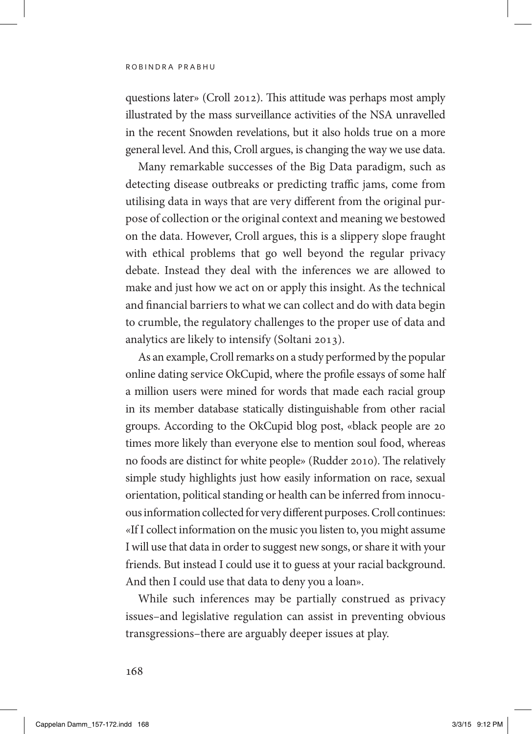questions later» (Croll 2012). This attitude was perhaps most amply illustrated by the mass surveillance activities of the NSA unravelled in the recent Snowden revelations, but it also holds true on a more general level. And this, Croll argues, is changing the way we use data.

Many remarkable successes of the Big Data paradigm, such as detecting disease outbreaks or predicting traffic jams, come from utilising data in ways that are very different from the original purpose of collection or the original context and meaning we bestowed on the data. However, Croll argues, this is a slippery slope fraught with ethical problems that go well beyond the regular privacy debate. Instead they deal with the inferences we are allowed to make and just how we act on or apply this insight. As the technical and financial barriers to what we can collect and do with data begin to crumble, the regulatory challenges to the proper use of data and analytics are likely to intensify (Soltani 2013).

As an example, Croll remarks on a study performed by the popular online dating service OkCupid, where the profile essays of some half a million users were mined for words that made each racial group in its member database statically distinguishable from other racial groups. According to the OkCupid blog post, «black people are 20 times more likely than everyone else to mention soul food, whereas no foods are distinct for white people» (Rudder 2010). The relatively simple study highlights just how easily information on race, sexual orientation, political standing or health can be inferred from innocuous information collected for very different purposes. Croll continues: *«*If I collect information on the music you listen to, you might assume I will use that data in order to suggest new songs, or share it with your friends. But instead I could use it to guess at your racial background. And then I could use that data to deny you a loan».

While such inferences may be partially construed as privacy issues–and legislative regulation can assist in preventing obvious transgressions–there are arguably deeper issues at play.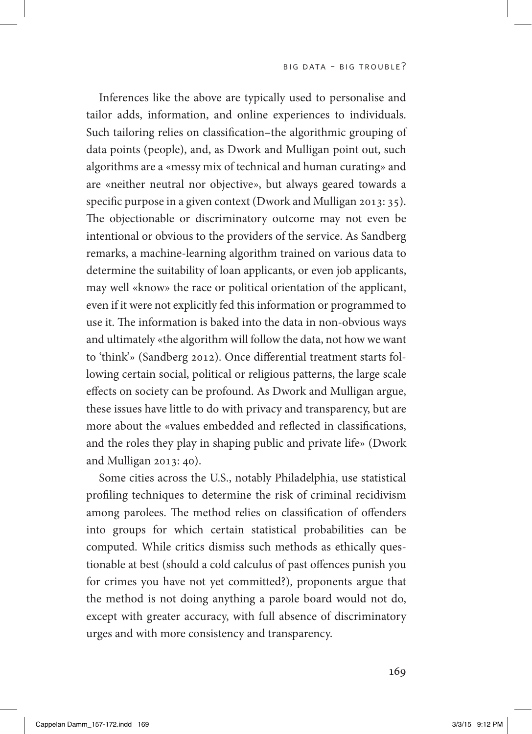Inferences like the above are typically used to personalise and tailor adds, information, and online experiences to individuals. Such tailoring relies on classification–the algorithmic grouping of data points (people), and, as Dwork and Mulligan point out, such algorithms are a «messy mix of technical and human curating» and are «neither neutral nor objective*»*, but always geared towards a specific purpose in a given context (Dwork and Mulligan 2013: 35). The objectionable or discriminatory outcome may not even be intentional or obvious to the providers of the service. As Sandberg remarks, a machine-learning algorithm trained on various data to determine the suitability of loan applicants, or even job applicants, may well «know» the race or political orientation of the applicant, even if it were not explicitly fed this information or programmed to use it. The information is baked into the data in non-obvious ways and ultimately «the algorithm will follow the data, not how we want to 'think'» (Sandberg 2012). Once differential treatment starts following certain social, political or religious patterns, the large scale effects on society can be profound. As Dwork and Mulligan argue, these issues have little to do with privacy and transparency, but are more about the «values embedded and reflected in classifications, and the roles they play in shaping public and private life» (Dwork and Mulligan 2013: 40).

Some cities across the U.S., notably Philadelphia, use statistical profiling techniques to determine the risk of criminal recidivism among parolees. The method relies on classification of offenders into groups for which certain statistical probabilities can be computed. While critics dismiss such methods as ethically questionable at best (should a cold calculus of past offences punish you for crimes you have not yet committed?), proponents argue that the method is not doing anything a parole board would not do, except with greater accuracy, with full absence of discriminatory urges and with more consistency and transparency.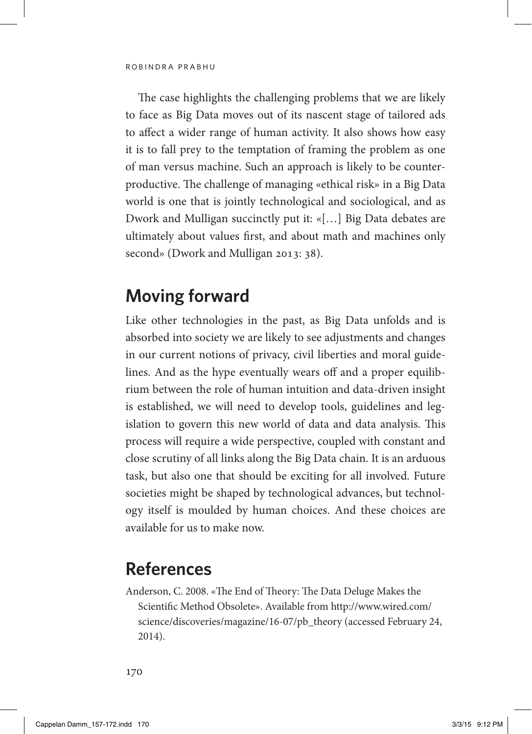robindra prabhu

The case highlights the challenging problems that we are likely to face as Big Data moves out of its nascent stage of tailored ads to affect a wider range of human activity. It also shows how easy it is to fall prey to the temptation of framing the problem as one of man versus machine. Such an approach is likely to be counterproductive. The challenge of managing «ethical risk» in a Big Data world is one that is jointly technological and sociological, and as Dwork and Mulligan succinctly put it: «[…] Big Data debates are ultimately about values first, and about math and machines only second» (Dwork and Mulligan 2013: 38).

## **Moving forward**

Like other technologies in the past, as Big Data unfolds and is absorbed into society we are likely to see adjustments and changes in our current notions of privacy, civil liberties and moral guidelines. And as the hype eventually wears off and a proper equilibrium between the role of human intuition and data-driven insight is established, we will need to develop tools, guidelines and legislation to govern this new world of data and data analysis. This process will require a wide perspective, coupled with constant and close scrutiny of all links along the Big Data chain. It is an arduous task, but also one that should be exciting for all involved. Future societies might be shaped by technological advances, but technology itself is moulded by human choices. And these choices are available for us to make now.

## **References**

Anderson, C. 2008. «The End of Theory: The Data Deluge Makes the Scientific Method Obsolete». Available from [http://www.wired.com/](http://www.wired.com/science/discoveries/magazine/16-07/pb_theory) [science/discoveries/magazine/16-07/pb\\_theory](http://www.wired.com/science/discoveries/magazine/16-07/pb_theory) (accessed February 24, 2014).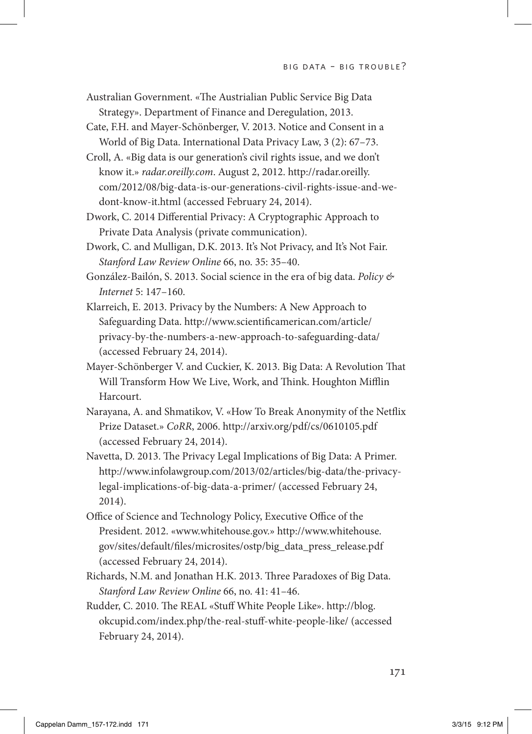Australian Government. «The Austrialian Public Service Big Data Strategy». Department of Finance and Deregulation, 2013.

- Cate, F.H. and Mayer-Schönberger, V. 2013. Notice and Consent in a World of Big Data. International Data Privacy Law, 3 (2): 67–73.
- Croll, A. «Big data is our generation's civil rights issue, and we don't know it.» *radar.oreilly.com*. August 2, 2012. [http://radar.oreilly.](http://radar.oreilly.com/2012/08/big-data-is-our-generations-civil-rights-issue-and-we-dont-know-it.html) [com/2012/08/big-data-is-our-generations-civil-rights-issue-and-we](http://radar.oreilly.com/2012/08/big-data-is-our-generations-civil-rights-issue-and-we-dont-know-it.html)[dont-know-it.html](http://radar.oreilly.com/2012/08/big-data-is-our-generations-civil-rights-issue-and-we-dont-know-it.html) (accessed February 24, 2014).
- Dwork, C. 2014 Differential Privacy: A Cryptographic Approach to Private Data Analysis (private communication).
- Dwork, C. and Mulligan, D.K. 2013. It's Not Privacy, and It's Not Fair. *Stanford Law Review Online* 66, no. 35: 35–40.
- González-Bailón, S. 2013. Social science in the era of big data. *Policy & Internet* 5: 147–160.
- Klarreich, E. 2013. Privacy by the Numbers: A New Approach to Safeguarding Data. [http://www.scientificamerican.com/article/](http://www.scientificamerican.com/article/privacy-by-the-numbers-a-new-approach-to-safeguarding-data/) [privacy-by-the-numbers-a-new-approach-to-safeguarding-data/](http://www.scientificamerican.com/article/privacy-by-the-numbers-a-new-approach-to-safeguarding-data/)  (accessed February 24, 2014).
- Mayer-Schönberger V. and Cuckier, K. 2013. Big Data: A Revolution That Will Transform How We Live, Work, and Think. Houghton Mifflin Harcourt.
- Narayana, A. and Shmatikov, V. «How To Break Anonymity of the Netflix Prize Dataset.» *CoRR*, 2006.<http://arxiv.org/pdf/cs/0610105.pdf> (accessed February 24, 2014).
- Navetta, D. 2013. The Privacy Legal Implications of Big Data: A Primer. [http://www.infolawgroup.com/2013/02/articles/big-data/the-privacy](http://www.infolawgroup.com/2013/02/articles/big-data/the-privacy-legal-implications-of-big-data-a-primer/)[legal-implications-of-big-data-a-primer/](http://www.infolawgroup.com/2013/02/articles/big-data/the-privacy-legal-implications-of-big-data-a-primer/) (accessed February 24, 2014).
- Office of Science and Technology Policy, Executive Office of the President. 2012. «www.whitehouse.gov.» [http://www.whitehouse.](http://www.whitehouse.gov/sites/default/files/microsites/ostp/big_data_press_release.pdf) [gov/sites/default/files/microsites/ostp/big\\_data\\_press\\_release.pdf](http://www.whitehouse.gov/sites/default/files/microsites/ostp/big_data_press_release.pdf)  (accessed February 24, 2014).
- Richards, N.M. and Jonathan H.K. 2013. Three Paradoxes of Big Data. *Stanford Law Review Online* 66, no. 41: 41–46.
- Rudder, C. 2010. The REAL «Stuff White People Like». [http://blog.](http://blog.okcupid.com/index.php/the-real-stuff-white-people-like/) [okcupid.com/index.php/the-real-stuff-white-people-like/](http://blog.okcupid.com/index.php/the-real-stuff-white-people-like/) (accessed February 24, 2014).